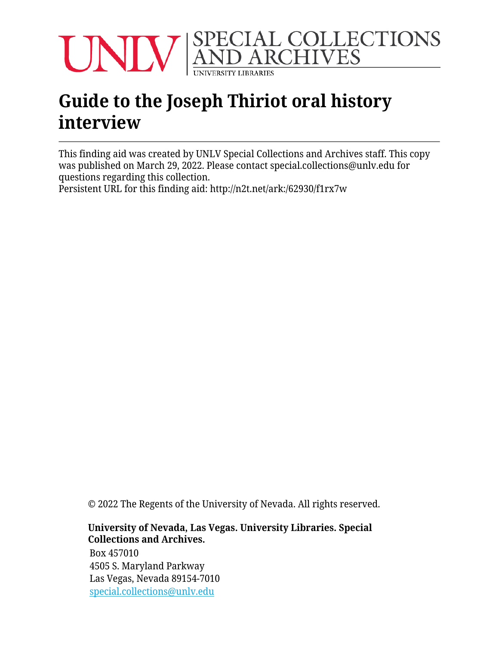

# **Guide to the Joseph Thiriot oral history interview**

This finding aid was created by UNLV Special Collections and Archives staff. This copy was published on March 29, 2022. Please contact special.collections@unlv.edu for questions regarding this collection.

Persistent URL for this finding aid: <http://n2t.net/ark:/62930/f1rx7w>

© 2022 The Regents of the University of Nevada. All rights reserved.

#### **University of Nevada, Las Vegas. University Libraries. Special Collections and Archives.**

Box 457010 4505 S. Maryland Parkway Las Vegas, Nevada 89154-7010 [special.collections@unlv.edu](mailto:special.collections@unlv.edu)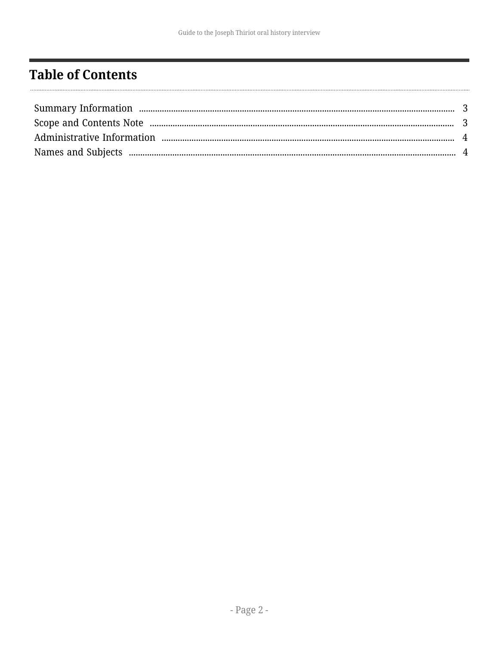# <span id="page-1-0"></span>**Table of Contents**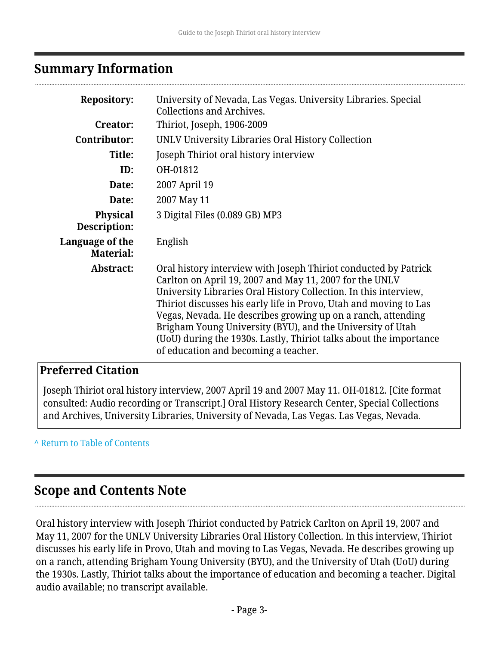### <span id="page-2-0"></span>**Summary Information**

| <b>Repository:</b>                  | University of Nevada, Las Vegas. University Libraries. Special<br><b>Collections and Archives.</b>                                                                                                                                                                                                                                                                                                                                                                                                              |
|-------------------------------------|-----------------------------------------------------------------------------------------------------------------------------------------------------------------------------------------------------------------------------------------------------------------------------------------------------------------------------------------------------------------------------------------------------------------------------------------------------------------------------------------------------------------|
| <b>Creator:</b>                     | Thiriot, Joseph, 1906-2009                                                                                                                                                                                                                                                                                                                                                                                                                                                                                      |
| Contributor:                        | UNLV University Libraries Oral History Collection                                                                                                                                                                                                                                                                                                                                                                                                                                                               |
| Title:                              | Joseph Thiriot oral history interview                                                                                                                                                                                                                                                                                                                                                                                                                                                                           |
| ID:                                 | OH-01812                                                                                                                                                                                                                                                                                                                                                                                                                                                                                                        |
| Date:                               | 2007 April 19                                                                                                                                                                                                                                                                                                                                                                                                                                                                                                   |
| Date:                               | 2007 May 11                                                                                                                                                                                                                                                                                                                                                                                                                                                                                                     |
| <b>Physical</b><br>Description:     | 3 Digital Files (0.089 GB) MP3                                                                                                                                                                                                                                                                                                                                                                                                                                                                                  |
| Language of the<br><b>Material:</b> | English                                                                                                                                                                                                                                                                                                                                                                                                                                                                                                         |
| Abstract:                           | Oral history interview with Joseph Thiriot conducted by Patrick<br>Carlton on April 19, 2007 and May 11, 2007 for the UNLV<br>University Libraries Oral History Collection. In this interview,<br>Thiriot discusses his early life in Provo, Utah and moving to Las<br>Vegas, Nevada. He describes growing up on a ranch, attending<br>Brigham Young University (BYU), and the University of Utah<br>(UoU) during the 1930s. Lastly, Thiriot talks about the importance<br>of education and becoming a teacher. |

#### **Preferred Citation**

Joseph Thiriot oral history interview, 2007 April 19 and 2007 May 11. OH-01812. [Cite format consulted: Audio recording or Transcript.] Oral History Research Center, Special Collections and Archives, University Libraries, University of Nevada, Las Vegas. Las Vegas, Nevada.

#### **^** [Return to Table of Contents](#page-1-0)

### <span id="page-2-1"></span>**Scope and Contents Note**

Oral history interview with Joseph Thiriot conducted by Patrick Carlton on April 19, 2007 and May 11, 2007 for the UNLV University Libraries Oral History Collection. In this interview, Thiriot discusses his early life in Provo, Utah and moving to Las Vegas, Nevada. He describes growing up on a ranch, attending Brigham Young University (BYU), and the University of Utah (UoU) during the 1930s. Lastly, Thiriot talks about the importance of education and becoming a teacher. Digital audio available; no transcript available.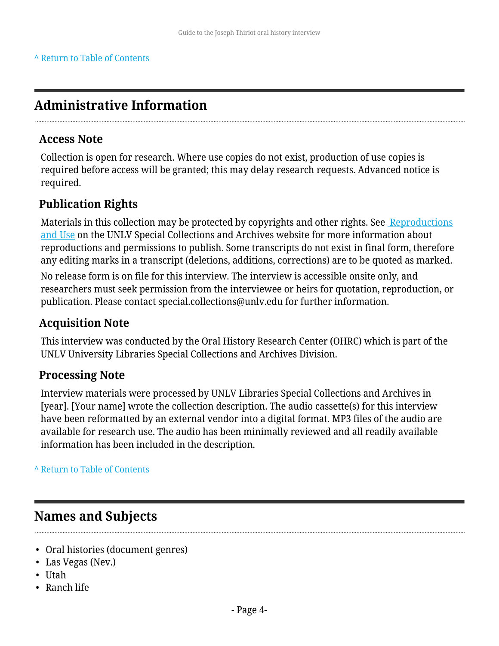# <span id="page-3-0"></span>**Administrative Information**

#### **Access Note**

Collection is open for research. Where use copies do not exist, production of use copies is required before access will be granted; this may delay research requests. Advanced notice is required.

### **Publication Rights**

Materials in this collection may be protected by copyrights and other rights. See [Reproductions](http://www.library.unlv.edu/speccol/research_and_services/reproductions) [and Use](http://www.library.unlv.edu/speccol/research_and_services/reproductions) on the UNLV Special Collections and Archives website for more information about reproductions and permissions to publish. Some transcripts do not exist in final form, therefore any editing marks in a transcript (deletions, additions, corrections) are to be quoted as marked.

No release form is on file for this interview. The interview is accessible onsite only, and researchers must seek permission from the interviewee or heirs for quotation, reproduction, or publication. Please contact special.collections@unlv.edu for further information.

### **Acquisition Note**

This interview was conducted by the Oral History Research Center (OHRC) which is part of the UNLV University Libraries Special Collections and Archives Division.

### **Processing Note**

Interview materials were processed by UNLV Libraries Special Collections and Archives in [year]. [Your name] wrote the collection description. The audio cassette(s) for this interview have been reformatted by an external vendor into a digital format. MP3 files of the audio are available for research use. The audio has been minimally reviewed and all readily available information has been included in the description.

**^** [Return to Table of Contents](#page-1-0)

## <span id="page-3-1"></span>**Names and Subjects**

- Oral histories (document genres)
- Las Vegas (Nev.)
- Utah
- Ranch life